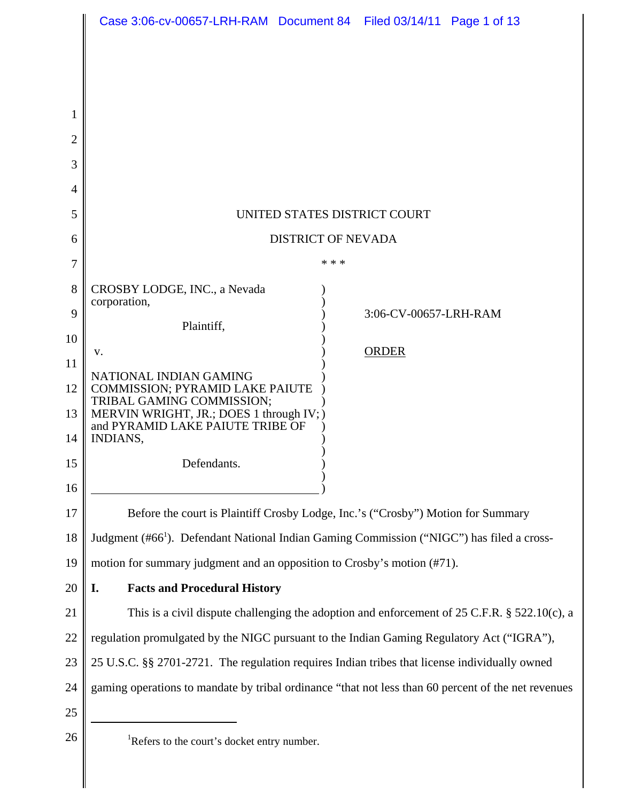|    | Case 3:06-cv-00657-LRH-RAM Document 84 Filed 03/14/11 Page 1 of 13                                    |
|----|-------------------------------------------------------------------------------------------------------|
|    |                                                                                                       |
| 1  |                                                                                                       |
| 2  |                                                                                                       |
| 3  |                                                                                                       |
| 4  |                                                                                                       |
| 5  | UNITED STATES DISTRICT COURT                                                                          |
| 6  | <b>DISTRICT OF NEVADA</b>                                                                             |
| 7  | * * *                                                                                                 |
| 8  | CROSBY LODGE, INC., a Nevada                                                                          |
| 9  | corporation,<br>3:06-CV-00657-LRH-RAM<br>Plaintiff,                                                   |
| 10 | <b>ORDER</b><br>v.                                                                                    |
| 11 | NATIONAL INDIAN GAMING                                                                                |
| 12 | COMMISSION; PYRAMID LAKE PAIUTE<br>TRIBAL GAMING COMMISSION;                                          |
| 13 | MERVIN WRIGHT, JR.; DOES 1 through IV; )<br>and PYRAMID LAKE PAIUTE TRIBE OF                          |
| 14 | <b>INDIANS,</b>                                                                                       |
| 15 | Defendants.                                                                                           |
| 16 |                                                                                                       |
| 17 | Before the court is Plaintiff Crosby Lodge, Inc.'s ("Crosby") Motion for Summary                      |
| 18 | Judgment (#66 <sup>1</sup> ). Defendant National Indian Gaming Commission ("NIGC") has filed a cross- |
| 19 | motion for summary judgment and an opposition to Crosby's motion (#71).                               |
| 20 | <b>Facts and Procedural History</b><br>I.                                                             |
| 21 | This is a civil dispute challenging the adoption and enforcement of $25$ C.F.R. $\S$ 522.10(c), a     |
| 22 | regulation promulgated by the NIGC pursuant to the Indian Gaming Regulatory Act ("IGRA"),             |
| 23 | 25 U.S.C. §§ 2701-2721. The regulation requires Indian tribes that license individually owned         |
| 24 | gaming operations to mandate by tribal ordinance "that not less than 60 percent of the net revenues   |
| 25 |                                                                                                       |
| 26 | <sup>1</sup> Refers to the court's docket entry number.                                               |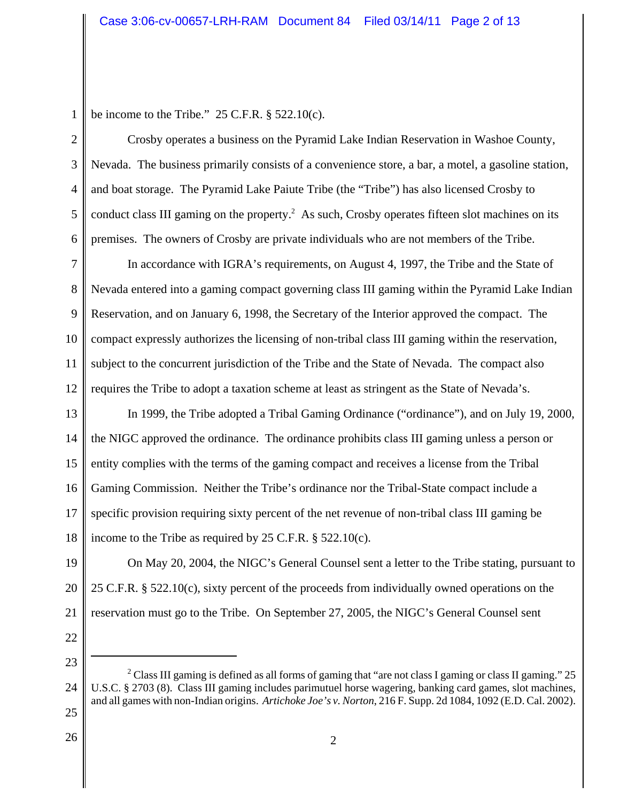2

3

4

5

6

be income to the Tribe."  $25$  C.F.R.  $\S$  522.10(c).

Crosby operates a business on the Pyramid Lake Indian Reservation in Washoe County, Nevada. The business primarily consists of a convenience store, a bar, a motel, a gasoline station, and boat storage. The Pyramid Lake Paiute Tribe (the "Tribe") has also licensed Crosby to conduct class III gaming on the property.<sup>2</sup> As such, Crosby operates fifteen slot machines on its premises. The owners of Crosby are private individuals who are not members of the Tribe.

7 8 9 10 11 12 In accordance with IGRA's requirements, on August 4, 1997, the Tribe and the State of Nevada entered into a gaming compact governing class III gaming within the Pyramid Lake Indian Reservation, and on January 6, 1998, the Secretary of the Interior approved the compact. The compact expressly authorizes the licensing of non-tribal class III gaming within the reservation, subject to the concurrent jurisdiction of the Tribe and the State of Nevada. The compact also requires the Tribe to adopt a taxation scheme at least as stringent as the State of Nevada's.

13 14 15 16 17 18 In 1999, the Tribe adopted a Tribal Gaming Ordinance ("ordinance"), and on July 19, 2000, the NIGC approved the ordinance. The ordinance prohibits class III gaming unless a person or entity complies with the terms of the gaming compact and receives a license from the Tribal Gaming Commission. Neither the Tribe's ordinance nor the Tribal-State compact include a specific provision requiring sixty percent of the net revenue of non-tribal class III gaming be income to the Tribe as required by 25 C.F.R. § 522.10(c).

19 20 21 On May 20, 2004, the NIGC's General Counsel sent a letter to the Tribe stating, pursuant to 25 C.F.R. § 522.10(c), sixty percent of the proceeds from individually owned operations on the reservation must go to the Tribe. On September 27, 2005, the NIGC's General Counsel sent

- 25
- 26

<sup>24</sup> <sup>2</sup> Class III gaming is defined as all forms of gaming that "are not class I gaming or class II gaming." 25 U.S.C. § 2703 (8). Class III gaming includes parimutuel horse wagering, banking card games, slot machines, and all games with non-Indian origins. *Artichoke Joe's v. Norton*, 216 F. Supp. 2d 1084, 1092 (E.D. Cal. 2002).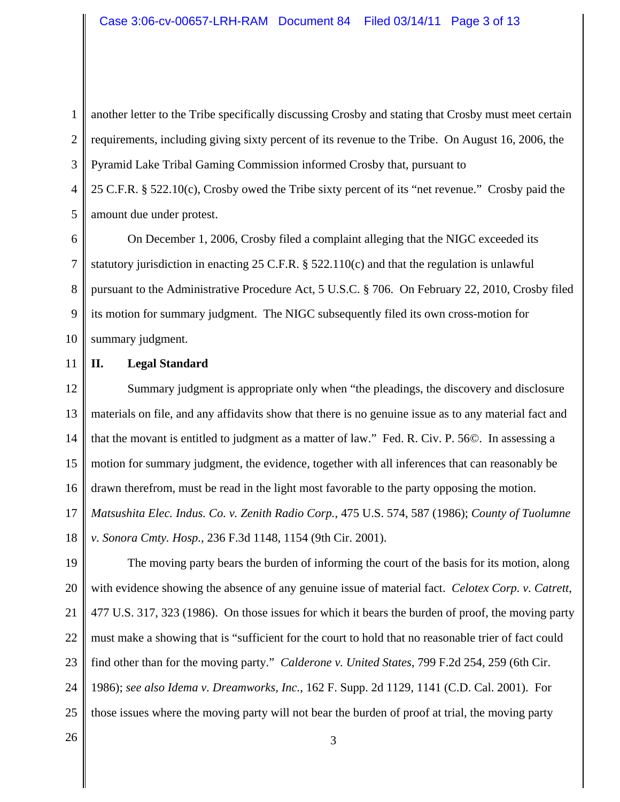1 2 3 another letter to the Tribe specifically discussing Crosby and stating that Crosby must meet certain requirements, including giving sixty percent of its revenue to the Tribe. On August 16, 2006, the Pyramid Lake Tribal Gaming Commission informed Crosby that, pursuant to

4 5 25 C.F.R. § 522.10(c), Crosby owed the Tribe sixty percent of its "net revenue." Crosby paid the amount due under protest.

6 7 8 9 10 On December 1, 2006, Crosby filed a complaint alleging that the NIGC exceeded its statutory jurisdiction in enacting 25 C.F.R.  $\S$  522.110(c) and that the regulation is unlawful pursuant to the Administrative Procedure Act, 5 U.S.C. § 706. On February 22, 2010, Crosby filed its motion for summary judgment. The NIGC subsequently filed its own cross-motion for summary judgment.

11

## **II. Legal Standard**

12 13 14 15 16 17 18 Summary judgment is appropriate only when "the pleadings, the discovery and disclosure materials on file, and any affidavits show that there is no genuine issue as to any material fact and that the movant is entitled to judgment as a matter of law." Fed. R. Civ. P. 56©. In assessing a motion for summary judgment, the evidence, together with all inferences that can reasonably be drawn therefrom, must be read in the light most favorable to the party opposing the motion. *Matsushita Elec. Indus. Co. v. Zenith Radio Corp.*, 475 U.S. 574, 587 (1986); *County of Tuolumne v. Sonora Cmty. Hosp.*, 236 F.3d 1148, 1154 (9th Cir. 2001).

19 20 21 22 23 24 25 The moving party bears the burden of informing the court of the basis for its motion, along with evidence showing the absence of any genuine issue of material fact. *Celotex Corp. v. Catrett*, 477 U.S. 317, 323 (1986). On those issues for which it bears the burden of proof, the moving party must make a showing that is "sufficient for the court to hold that no reasonable trier of fact could find other than for the moving party." *Calderone v. United States*, 799 F.2d 254, 259 (6th Cir. 1986); *see also Idema v. Dreamworks, Inc.*, 162 F. Supp. 2d 1129, 1141 (C.D. Cal. 2001). For those issues where the moving party will not bear the burden of proof at trial, the moving party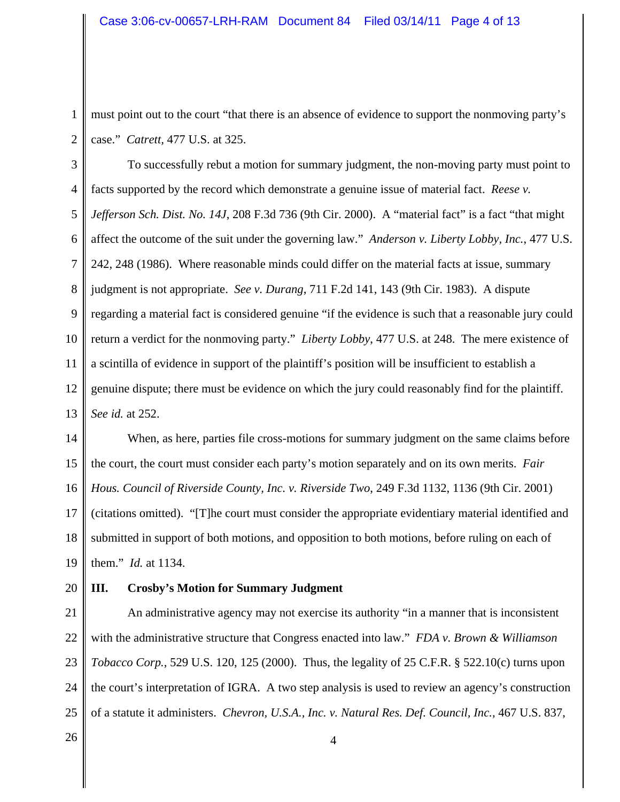2

must point out to the court "that there is an absence of evidence to support the nonmoving party's case." *Catrett,* 477 U.S. at 325.

3 4 5 6 7 8 9 10 11 12 13 To successfully rebut a motion for summary judgment, the non-moving party must point to facts supported by the record which demonstrate a genuine issue of material fact. *Reese v. Jefferson Sch. Dist. No. 14J*, 208 F.3d 736 (9th Cir. 2000). A "material fact" is a fact "that might affect the outcome of the suit under the governing law." *Anderson v. Liberty Lobby, Inc.*, 477 U.S. 242, 248 (1986). Where reasonable minds could differ on the material facts at issue, summary judgment is not appropriate. *See v. Durang*, 711 F.2d 141, 143 (9th Cir. 1983). A dispute regarding a material fact is considered genuine "if the evidence is such that a reasonable jury could return a verdict for the nonmoving party." *Liberty Lobby*, 477 U.S. at 248. The mere existence of a scintilla of evidence in support of the plaintiff's position will be insufficient to establish a genuine dispute; there must be evidence on which the jury could reasonably find for the plaintiff. *See id.* at 252.

14 15 16 17 18 19 When, as here, parties file cross-motions for summary judgment on the same claims before the court, the court must consider each party's motion separately and on its own merits. *Fair Hous. Council of Riverside County, Inc. v. Riverside Two*, 249 F.3d 1132, 1136 (9th Cir. 2001) (citations omitted). "[T]he court must consider the appropriate evidentiary material identified and submitted in support of both motions, and opposition to both motions, before ruling on each of them." *Id.* at 1134.

20

### **III. Crosby's Motion for Summary Judgment**

21 22 23 24 25 An administrative agency may not exercise its authority "in a manner that is inconsistent with the administrative structure that Congress enacted into law." *FDA v. Brown & Williamson Tobacco Corp.*, 529 U.S. 120, 125 (2000). Thus, the legality of 25 C.F.R. § 522.10(c) turns upon the court's interpretation of IGRA. A two step analysis is used to review an agency's construction of a statute it administers. *Chevron, U.S.A., Inc. v. Natural Res. Def. Council, Inc.,* 467 U.S. 837,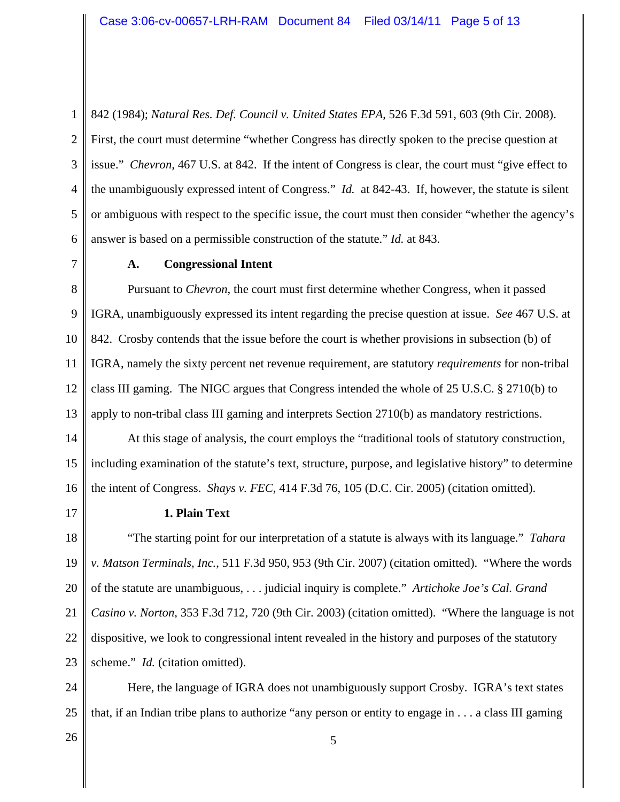1 2 3 4 5 6 842 (1984); *Natural Res. Def. Council v. United States EPA*, 526 F.3d 591, 603 (9th Cir. 2008). First, the court must determine "whether Congress has directly spoken to the precise question at issue." *Chevron,* 467 U.S. at 842. If the intent of Congress is clear, the court must "give effect to the unambiguously expressed intent of Congress." *Id.* at 842-43. If, however, the statute is silent or ambiguous with respect to the specific issue, the court must then consider "whether the agency's answer is based on a permissible construction of the statute." *Id.* at 843.

7

#### **A. Congressional Intent**

8 9 10 11 12 13 Pursuant to *Chevron*, the court must first determine whether Congress, when it passed IGRA, unambiguously expressed its intent regarding the precise question at issue. *See* 467 U.S. at 842. Crosby contends that the issue before the court is whether provisions in subsection (b) of IGRA, namely the sixty percent net revenue requirement, are statutory *requirements* for non-tribal class III gaming. The NIGC argues that Congress intended the whole of 25 U.S.C. § 2710(b) to apply to non-tribal class III gaming and interprets Section 2710(b) as mandatory restrictions.

14 15 16 At this stage of analysis, the court employs the "traditional tools of statutory construction, including examination of the statute's text, structure, purpose, and legislative history" to determine the intent of Congress. *Shays v. FEC*, 414 F.3d 76, 105 (D.C. Cir. 2005) (citation omitted).

17

### **1. Plain Text**

18 19 20 21 22 23 "The starting point for our interpretation of a statute is always with its language." *Tahara v. Matson Terminals, Inc.*, 511 F.3d 950, 953 (9th Cir. 2007) (citation omitted). "Where the words of the statute are unambiguous, . . . judicial inquiry is complete." *Artichoke Joe's Cal. Grand Casino v. Norton*, 353 F.3d 712, 720 (9th Cir. 2003) (citation omitted). "Where the language is not dispositive, we look to congressional intent revealed in the history and purposes of the statutory scheme." *Id.* (citation omitted).

24 25 Here, the language of IGRA does not unambiguously support Crosby. IGRA's text states that, if an Indian tribe plans to authorize "any person or entity to engage in . . . a class III gaming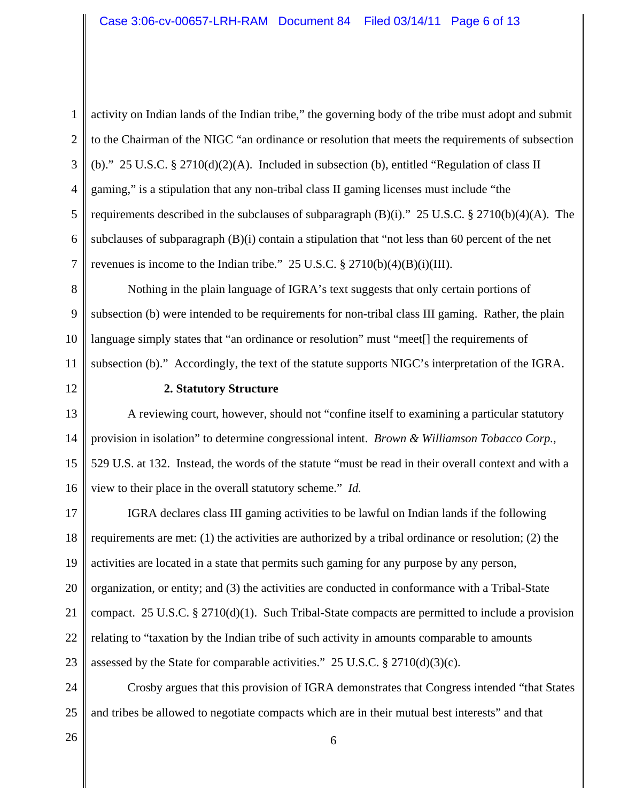2 3 4 5 6 7 activity on Indian lands of the Indian tribe," the governing body of the tribe must adopt and submit to the Chairman of the NIGC "an ordinance or resolution that meets the requirements of subsection (b)." 25 U.S.C. § 2710(d)(2)(A). Included in subsection (b), entitled "Regulation of class II gaming," is a stipulation that any non-tribal class II gaming licenses must include "the requirements described in the subclauses of subparagraph  $(B)(i)$ ." 25 U.S.C. § 2710(b)(4)(A). The subclauses of subparagraph (B)(i) contain a stipulation that "not less than 60 percent of the net revenues is income to the Indian tribe."  $25 \text{ U.S.C.} \text{ § } 2710(b)(4)(B)(i)(III)$ .

8 9 10 11 Nothing in the plain language of IGRA's text suggests that only certain portions of subsection (b) were intended to be requirements for non-tribal class III gaming. Rather, the plain language simply states that "an ordinance or resolution" must "meet[] the requirements of subsection (b)." Accordingly, the text of the statute supports NIGC's interpretation of the IGRA.

12

#### **2. Statutory Structure**

13 14 15 16 A reviewing court, however, should not "confine itself to examining a particular statutory provision in isolation" to determine congressional intent. *Brown & Williamson Tobacco Corp.*, 529 U.S. at 132. Instead, the words of the statute "must be read in their overall context and with a view to their place in the overall statutory scheme." *Id.*

17 18 19 20 21 22 23 IGRA declares class III gaming activities to be lawful on Indian lands if the following requirements are met: (1) the activities are authorized by a tribal ordinance or resolution; (2) the activities are located in a state that permits such gaming for any purpose by any person, organization, or entity; and (3) the activities are conducted in conformance with a Tribal-State compact. 25 U.S.C. § 2710(d)(1). Such Tribal-State compacts are permitted to include a provision relating to "taxation by the Indian tribe of such activity in amounts comparable to amounts assessed by the State for comparable activities."  $25$  U.S.C. §  $2710(d)(3)(c)$ .

24 25 Crosby argues that this provision of IGRA demonstrates that Congress intended "that States and tribes be allowed to negotiate compacts which are in their mutual best interests" and that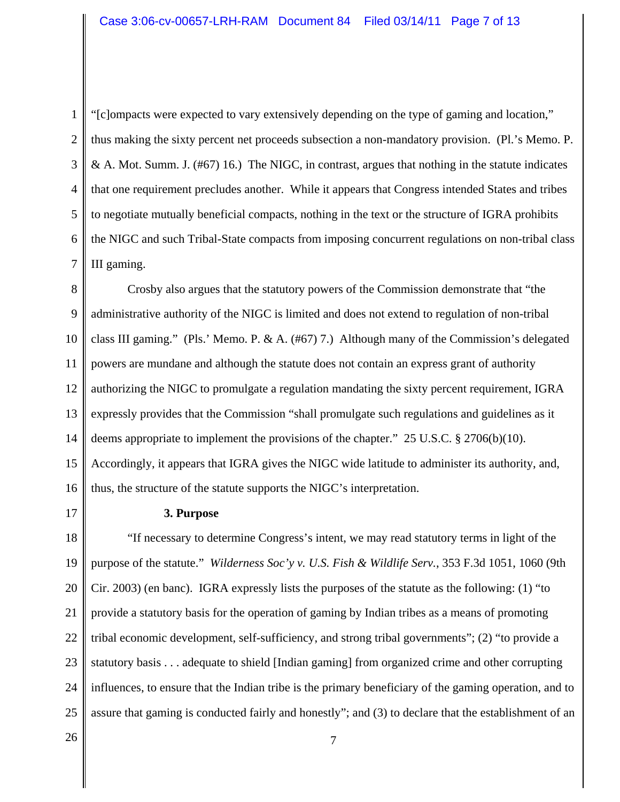1 2 3 4 5 6 7 "[c]ompacts were expected to vary extensively depending on the type of gaming and location," thus making the sixty percent net proceeds subsection a non-mandatory provision. (Pl.'s Memo. P. & A. Mot. Summ. J.  $(\#67)$  16.) The NIGC, in contrast, argues that nothing in the statute indicates that one requirement precludes another. While it appears that Congress intended States and tribes to negotiate mutually beneficial compacts, nothing in the text or the structure of IGRA prohibits the NIGC and such Tribal-State compacts from imposing concurrent regulations on non-tribal class III gaming.

8 9 10 11 12 13 14 15 16 Crosby also argues that the statutory powers of the Commission demonstrate that "the administrative authority of the NIGC is limited and does not extend to regulation of non-tribal class III gaming." (Pls.' Memo. P. & A.  $(\#67)$  7.) Although many of the Commission's delegated powers are mundane and although the statute does not contain an express grant of authority authorizing the NIGC to promulgate a regulation mandating the sixty percent requirement, IGRA expressly provides that the Commission "shall promulgate such regulations and guidelines as it deems appropriate to implement the provisions of the chapter." 25 U.S.C. § 2706(b)(10). Accordingly, it appears that IGRA gives the NIGC wide latitude to administer its authority, and, thus, the structure of the statute supports the NIGC's interpretation.

17

### **3. Purpose**

18 19 20 21 22 23 24 25 "If necessary to determine Congress's intent, we may read statutory terms in light of the purpose of the statute." *Wilderness Soc'y v. U.S. Fish & Wildlife Serv.*, 353 F.3d 1051, 1060 (9th Cir. 2003) (en banc). IGRA expressly lists the purposes of the statute as the following: (1) "to provide a statutory basis for the operation of gaming by Indian tribes as a means of promoting tribal economic development, self-sufficiency, and strong tribal governments"; (2) "to provide a statutory basis . . . adequate to shield [Indian gaming] from organized crime and other corrupting influences, to ensure that the Indian tribe is the primary beneficiary of the gaming operation, and to assure that gaming is conducted fairly and honestly"; and (3) to declare that the establishment of an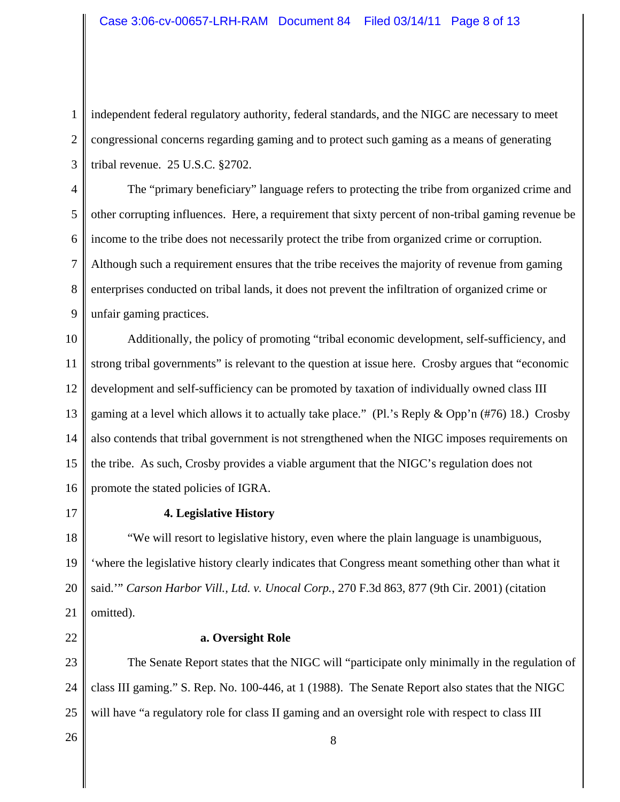1 2 3 independent federal regulatory authority, federal standards, and the NIGC are necessary to meet congressional concerns regarding gaming and to protect such gaming as a means of generating tribal revenue. 25 U.S.C. §2702.

4 5 6 7 8 9 The "primary beneficiary" language refers to protecting the tribe from organized crime and other corrupting influences. Here, a requirement that sixty percent of non-tribal gaming revenue be income to the tribe does not necessarily protect the tribe from organized crime or corruption. Although such a requirement ensures that the tribe receives the majority of revenue from gaming enterprises conducted on tribal lands, it does not prevent the infiltration of organized crime or unfair gaming practices.

10 11 12 13 14 15 16 Additionally, the policy of promoting "tribal economic development, self-sufficiency, and strong tribal governments" is relevant to the question at issue here. Crosby argues that "economic development and self-sufficiency can be promoted by taxation of individually owned class III gaming at a level which allows it to actually take place." (Pl.'s Reply & Opp'n (#76) 18.) Crosby also contends that tribal government is not strengthened when the NIGC imposes requirements on the tribe. As such, Crosby provides a viable argument that the NIGC's regulation does not promote the stated policies of IGRA.

17

## **4. Legislative History**

18 19 20 21 "We will resort to legislative history, even where the plain language is unambiguous, 'where the legislative history clearly indicates that Congress meant something other than what it said.'" *Carson Harbor Vill., Ltd. v. Unocal Corp.*, 270 F.3d 863, 877 (9th Cir. 2001) (citation omitted).

22

## **a. Oversight Role**

23 24 25 The Senate Report states that the NIGC will "participate only minimally in the regulation of class III gaming." S. Rep. No. 100-446, at 1 (1988). The Senate Report also states that the NIGC will have "a regulatory role for class II gaming and an oversight role with respect to class III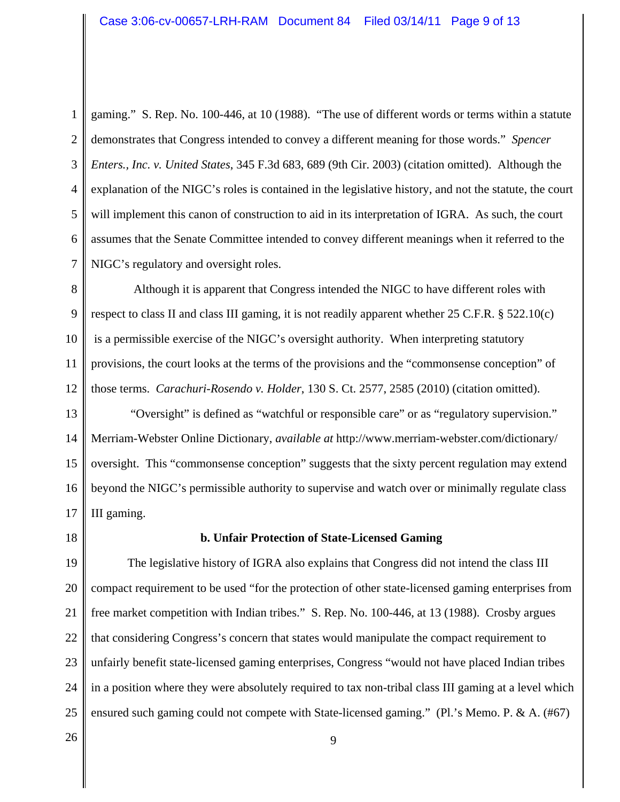2 3 4 5 6 7 gaming." S. Rep. No. 100-446, at 10 (1988). "The use of different words or terms within a statute demonstrates that Congress intended to convey a different meaning for those words." *Spencer Enters., Inc. v. United States*, 345 F.3d 683, 689 (9th Cir. 2003) (citation omitted). Although the explanation of the NIGC's roles is contained in the legislative history, and not the statute, the court will implement this canon of construction to aid in its interpretation of IGRA. As such, the court assumes that the Senate Committee intended to convey different meanings when it referred to the NIGC's regulatory and oversight roles.

8 9 10 11 12 Although it is apparent that Congress intended the NIGC to have different roles with respect to class II and class III gaming, it is not readily apparent whether 25 C.F.R. § 522.10(c) is a permissible exercise of the NIGC's oversight authority. When interpreting statutory provisions, the court looks at the terms of the provisions and the "commonsense conception" of those terms. *Carachuri-Rosendo v. Holder*, 130 S. Ct. 2577, 2585 (2010) (citation omitted).

13 14 15 16 17 "Oversight" is defined as "watchful or responsible care" or as "regulatory supervision." Merriam-Webster Online Dictionary, *available at* http://www.merriam-webster.com/dictionary/ oversight. This "commonsense conception" suggests that the sixty percent regulation may extend beyond the NIGC's permissible authority to supervise and watch over or minimally regulate class III gaming.

18

### **b. Unfair Protection of State-Licensed Gaming**

19 20 21 22 23 24 25 The legislative history of IGRA also explains that Congress did not intend the class III compact requirement to be used "for the protection of other state-licensed gaming enterprises from free market competition with Indian tribes." S. Rep. No. 100-446, at 13 (1988). Crosby argues that considering Congress's concern that states would manipulate the compact requirement to unfairly benefit state-licensed gaming enterprises, Congress "would not have placed Indian tribes in a position where they were absolutely required to tax non-tribal class III gaming at a level which ensured such gaming could not compete with State-licensed gaming." (Pl.'s Memo. P. & A. (#67)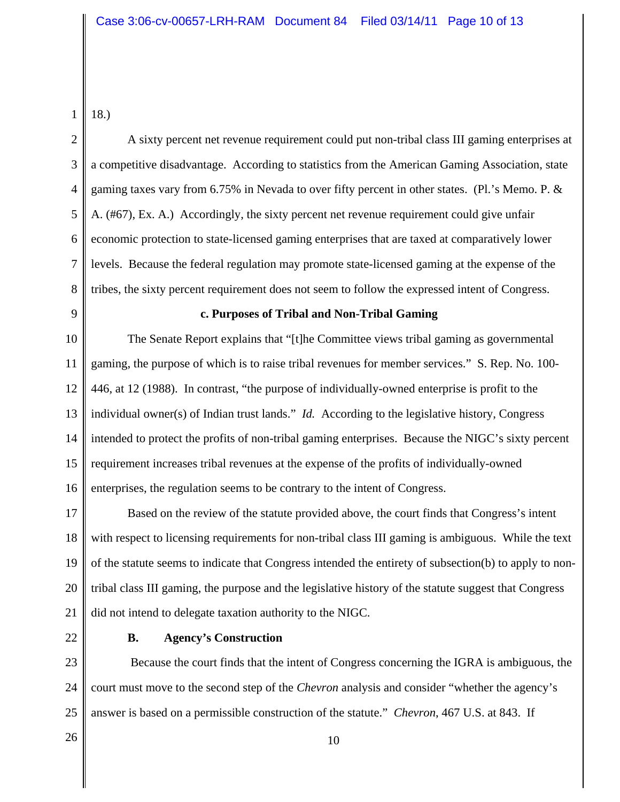1 18.)

2 3 4 5 6 7 8 A sixty percent net revenue requirement could put non-tribal class III gaming enterprises at a competitive disadvantage. According to statistics from the American Gaming Association, state gaming taxes vary from 6.75% in Nevada to over fifty percent in other states. (Pl.'s Memo. P.  $&$ A. (#67), Ex. A.) Accordingly, the sixty percent net revenue requirement could give unfair economic protection to state-licensed gaming enterprises that are taxed at comparatively lower levels. Because the federal regulation may promote state-licensed gaming at the expense of the tribes, the sixty percent requirement does not seem to follow the expressed intent of Congress.

9

#### **c. Purposes of Tribal and Non-Tribal Gaming**

10 11 12 13 14 15 16 The Senate Report explains that "[t]he Committee views tribal gaming as governmental gaming, the purpose of which is to raise tribal revenues for member services." S. Rep. No. 100- 446, at 12 (1988). In contrast, "the purpose of individually-owned enterprise is profit to the individual owner(s) of Indian trust lands." *Id.* According to the legislative history, Congress intended to protect the profits of non-tribal gaming enterprises. Because the NIGC's sixty percent requirement increases tribal revenues at the expense of the profits of individually-owned enterprises, the regulation seems to be contrary to the intent of Congress.

17 18 19 20 21 Based on the review of the statute provided above, the court finds that Congress's intent with respect to licensing requirements for non-tribal class III gaming is ambiguous. While the text of the statute seems to indicate that Congress intended the entirety of subsection(b) to apply to nontribal class III gaming, the purpose and the legislative history of the statute suggest that Congress did not intend to delegate taxation authority to the NIGC.

22

### **B. Agency's Construction**

23 24 25 Because the court finds that the intent of Congress concerning the IGRA is ambiguous, the court must move to the second step of the *Chevron* analysis and consider "whether the agency's answer is based on a permissible construction of the statute." *Chevron*, 467 U.S. at 843. If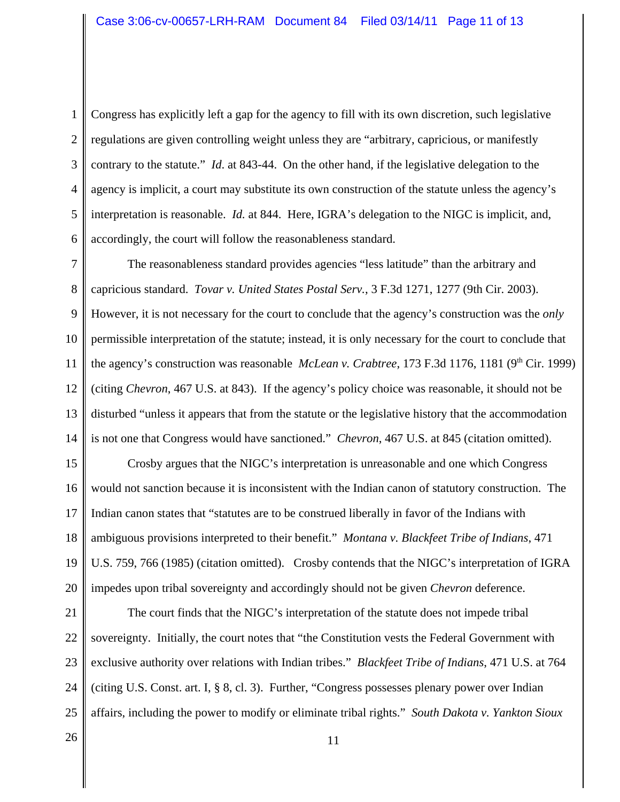1 2 3 4 5 6 Congress has explicitly left a gap for the agency to fill with its own discretion, such legislative regulations are given controlling weight unless they are "arbitrary, capricious, or manifestly contrary to the statute." *Id*. at 843-44. On the other hand, if the legislative delegation to the agency is implicit, a court may substitute its own construction of the statute unless the agency's interpretation is reasonable. *Id.* at 844. Here, IGRA's delegation to the NIGC is implicit, and, accordingly, the court will follow the reasonableness standard.

7 8 9 10 11 12 13 14 The reasonableness standard provides agencies "less latitude" than the arbitrary and capricious standard. *Tovar v. United States Postal Serv.*, 3 F.3d 1271, 1277 (9th Cir. 2003). However, it is not necessary for the court to conclude that the agency's construction was the *only* permissible interpretation of the statute; instead, it is only necessary for the court to conclude that the agency's construction was reasonable *McLean v. Crabtree*, 173 F.3d 1176, 1181 (9<sup>th</sup> Cir. 1999) (citing *Chevron*, 467 U.S. at 843). If the agency's policy choice was reasonable, it should not be disturbed "unless it appears that from the statute or the legislative history that the accommodation is not one that Congress would have sanctioned." *Chevron*, 467 U.S. at 845 (citation omitted).

15 16 17 18 19 20 Crosby argues that the NIGC's interpretation is unreasonable and one which Congress would not sanction because it is inconsistent with the Indian canon of statutory construction. The Indian canon states that "statutes are to be construed liberally in favor of the Indians with ambiguous provisions interpreted to their benefit." *Montana v. Blackfeet Tribe of Indians*, 471 U.S. 759, 766 (1985) (citation omitted). Crosby contends that the NIGC's interpretation of IGRA impedes upon tribal sovereignty and accordingly should not be given *Chevron* deference.

21 22 23 24 25 The court finds that the NIGC's interpretation of the statute does not impede tribal sovereignty. Initially, the court notes that "the Constitution vests the Federal Government with exclusive authority over relations with Indian tribes." *Blackfeet Tribe of Indians*, 471 U.S. at 764 (citing U.S. Const. art. I, § 8, cl. 3). Further, "Congress possesses plenary power over Indian affairs, including the power to modify or eliminate tribal rights." *South Dakota v. Yankton Sioux*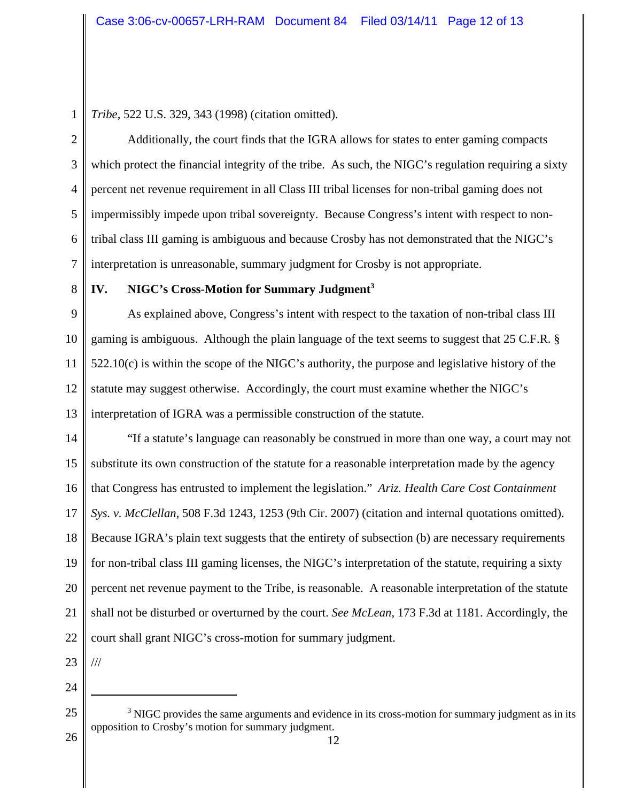*Tribe*, 522 U.S. 329, 343 (1998) (citation omitted).

2 3 4 5 6 7 Additionally, the court finds that the IGRA allows for states to enter gaming compacts which protect the financial integrity of the tribe. As such, the NIGC's regulation requiring a sixty percent net revenue requirement in all Class III tribal licenses for non-tribal gaming does not impermissibly impede upon tribal sovereignty. Because Congress's intent with respect to nontribal class III gaming is ambiguous and because Crosby has not demonstrated that the NIGC's interpretation is unreasonable, summary judgment for Crosby is not appropriate.

8

# **IV. NIGC's Cross-Motion for Summary Judgment3**

9 10 11 12 13 As explained above, Congress's intent with respect to the taxation of non-tribal class III gaming is ambiguous. Although the plain language of the text seems to suggest that 25 C.F.R. § 522.10(c) is within the scope of the NIGC's authority, the purpose and legislative history of the statute may suggest otherwise. Accordingly, the court must examine whether the NIGC's interpretation of IGRA was a permissible construction of the statute.

14 15 16 17 18 19 20 21 22 "If a statute's language can reasonably be construed in more than one way, a court may not substitute its own construction of the statute for a reasonable interpretation made by the agency that Congress has entrusted to implement the legislation." *Ariz. Health Care Cost Containment Sys. v. McClellan*, 508 F.3d 1243, 1253 (9th Cir. 2007) (citation and internal quotations omitted). Because IGRA's plain text suggests that the entirety of subsection (b) are necessary requirements for non-tribal class III gaming licenses, the NIGC's interpretation of the statute, requiring a sixty percent net revenue payment to the Tribe, is reasonable. A reasonable interpretation of the statute shall not be disturbed or overturned by the court. *See McLean*, 173 F.3d at 1181. Accordingly, the court shall grant NIGC's cross-motion for summary judgment.

23

///

<sup>25</sup>  $3$  NIGC provides the same arguments and evidence in its cross-motion for summary judgment as in its opposition to Crosby's motion for summary judgment.